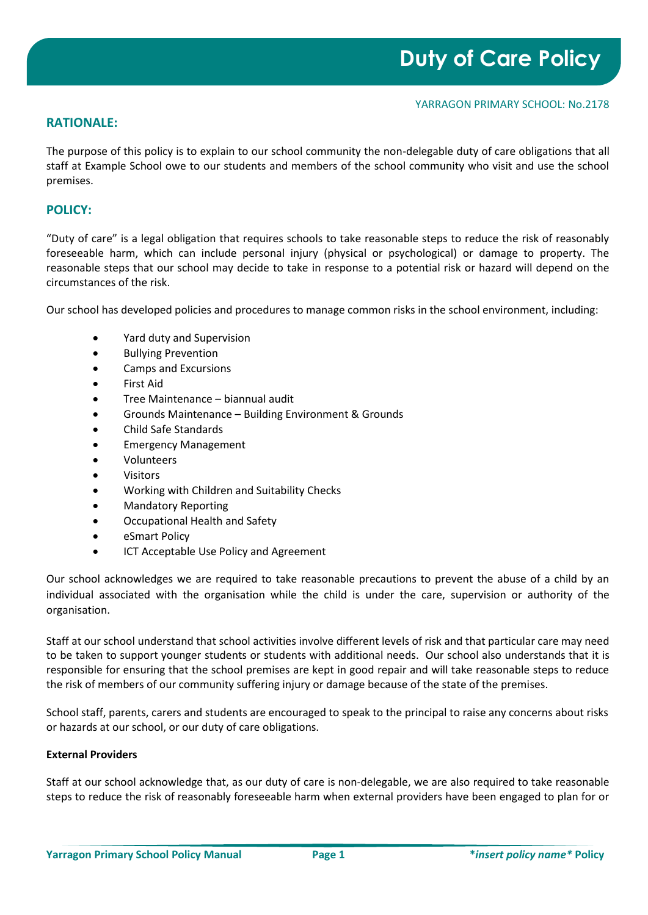# **RATIONALE:**

The purpose of this policy is to explain to our school community the non-delegable duty of care obligations that all staff at Example School owe to our students and members of the school community who visit and use the school premises.

# **POLICY:**

"Duty of care" is a legal obligation that requires schools to take reasonable steps to reduce the risk of reasonably foreseeable harm, which can include personal injury (physical or psychological) or damage to property. The reasonable steps that our school may decide to take in response to a potential risk or hazard will depend on the circumstances of the risk.

Our school has developed policies and procedures to manage common risks in the school environment, including:

- Yard duty and Supervision
- Bullying Prevention
- Camps and Excursions
- First Aid
- Tree Maintenance biannual audit
- Grounds Maintenance Building Environment & Grounds
- Child Safe Standards
- Emergency Management
- Volunteers
- **Visitors**
- Working with Children and Suitability Checks
- Mandatory Reporting
- Occupational Health and Safety
- eSmart Policy
- ICT Acceptable Use Policy and Agreement

Our school acknowledges we are required to take reasonable precautions to prevent the abuse of a child by an individual associated with the organisation while the child is under the care, supervision or authority of the organisation.

Staff at our school understand that school activities involve different levels of risk and that particular care may need to be taken to support younger students or students with additional needs. Our school also understands that it is responsible for ensuring that the school premises are kept in good repair and will take reasonable steps to reduce the risk of members of our community suffering injury or damage because of the state of the premises.

School staff, parents, carers and students are encouraged to speak to the principal to raise any concerns about risks or hazards at our school, or our duty of care obligations.

#### **External Providers**

Staff at our school acknowledge that, as our duty of care is non-delegable, we are also required to take reasonable steps to reduce the risk of reasonably foreseeable harm when external providers have been engaged to plan for or